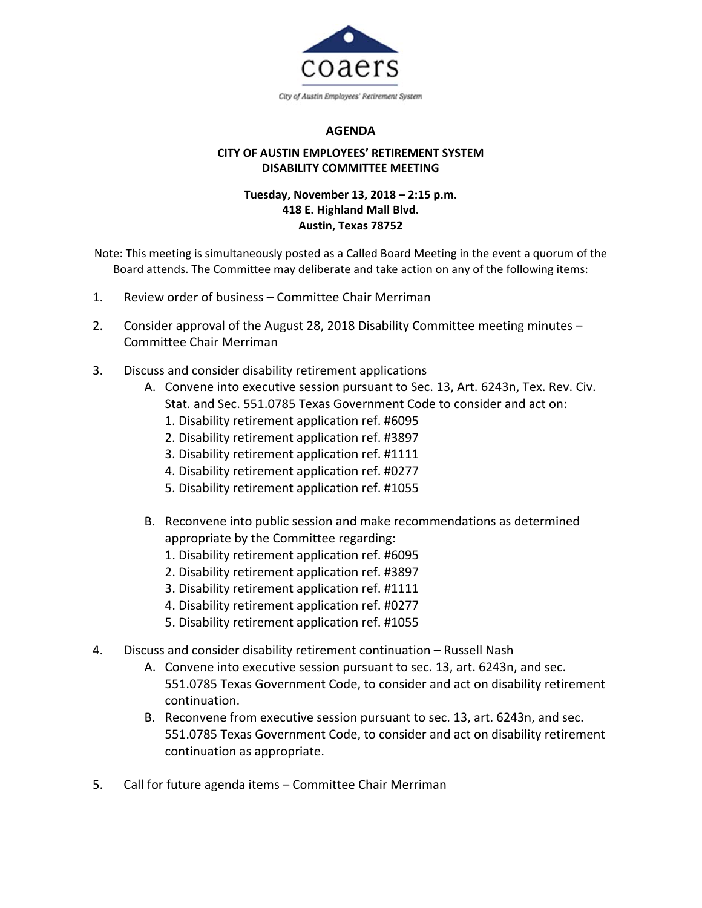

## **AGENDA**

## **CITY OF AUSTIN EMPLOYEES' RETIREMENT SYSTEM DISABILITY COMMITTEE MEETING**

## **Tuesday, November 13, 2018 – 2:15 p.m. 418 E. Highland Mall Blvd. Austin, Texas 78752**

Note: This meeting is simultaneously posted as a Called Board Meeting in the event a quorum of the Board attends. The Committee may deliberate and take action on any of the following items:

- 1. Review order of business Committee Chair Merriman
- 2. Consider approval of the August 28, 2018 Disability Committee meeting minutes Committee Chair Merriman
- 3. Discuss and consider disability retirement applications
	- A. Convene into executive session pursuant to Sec. 13, Art. 6243n, Tex. Rev. Civ. Stat. and Sec. 551.0785 Texas Government Code to consider and act on:
		- 1. Disability retirement application ref. #6095
		- 2. Disability retirement application ref. #3897
		- 3. Disability retirement application ref. #1111
		- 4. Disability retirement application ref. #0277
		- 5. Disability retirement application ref. #1055
	- B. Reconvene into public session and make recommendations as determined appropriate by the Committee regarding:
		- 1. Disability retirement application ref. #6095
		- 2. Disability retirement application ref. #3897
		- 3. Disability retirement application ref. #1111
		- 4. Disability retirement application ref. #0277
		- 5. Disability retirement application ref. #1055
- 4. Discuss and consider disability retirement continuation Russell Nash
	- A. Convene into executive session pursuant to sec. 13, art. 6243n, and sec. 551.0785 Texas Government Code, to consider and act on disability retirement continuation.
	- B. Reconvene from executive session pursuant to sec. 13, art. 6243n, and sec. 551.0785 Texas Government Code, to consider and act on disability retirement continuation as appropriate.
- 5. Call for future agenda items Committee Chair Merriman